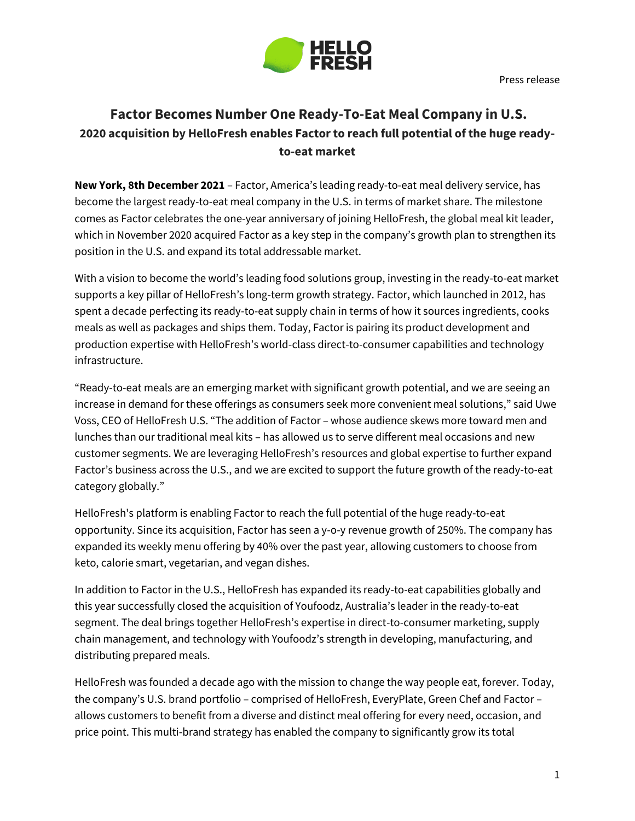

## **Factor Becomes Number One Ready-To-Eat Meal Company in U.S. 2020 acquisition by HelloFresh enables Factor to reach full potential of the huge readyto-eat market**

**New York, 8th December 2021** – Factor, America's leading ready-to-eat meal delivery service, has become the largest ready-to-eat meal company in the U.S. in terms of market share. The milestone comes as Factor celebrates the one-year anniversary of joining HelloFresh, the global meal kit leader, which in November 2020 acquired Factor as a key step in the company's growth plan to strengthen its position in the U.S. and expand its total addressable market.

With a vision to become the world's leading food solutions group, investing in the ready-to-eat market supports a key pillar of HelloFresh's long-term growth strategy. Factor, which launched in 2012, has spent a decade perfecting its ready-to-eat supply chain in terms of how it sources ingredients, cooks meals as well as packages and ships them. Today, Factor is pairing its product development and production expertise with HelloFresh's world-class direct-to-consumer capabilities and technology infrastructure.

"Ready-to-eat meals are an emerging market with significant growth potential, and we are seeing an increase in demand for these offerings as consumers seek more convenient meal solutions," said Uwe Voss, CEO of HelloFresh U.S. "The addition of Factor – whose audience skews more toward men and lunches than our traditional meal kits – has allowed us to serve different meal occasions and new customer segments. We are leveraging HelloFresh's resources and global expertise to further expand Factor's business across the U.S., and we are excited to support the future growth of the ready-to-eat category globally."

HelloFresh's platform is enabling Factor to reach the full potential of the huge ready-to-eat opportunity. Since its acquisition, Factor has seen a y-o-y revenue growth of 250%. The company has expanded its weekly menu offering by 40% over the past year, allowing customers to choose from keto, calorie smart, vegetarian, and vegan dishes.

In addition to Factor in the U.S., HelloFresh has expanded its ready-to-eat capabilities globally and this year successfully closed the acquisition of Youfoodz, Australia's leader in the ready-to-eat segment. The deal brings together HelloFresh's expertise in direct-to-consumer marketing, supply chain management, and technology with Youfoodz's strength in developing, manufacturing, and distributing prepared meals.

HelloFresh was founded a decade ago with the mission to change the way people eat, forever. Today, the company's U.S. brand portfolio – comprised of HelloFresh, EveryPlate, Green Chef and Factor – allows customers to benefit from a diverse and distinct meal offering for every need, occasion, and price point. This multi-brand strategy has enabled the company to significantly grow its total